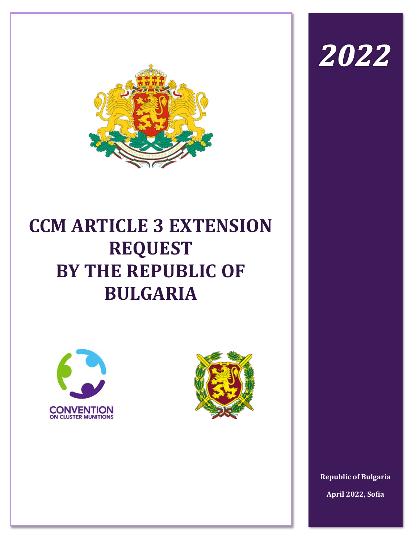

# **CCM ARTICLE 3 EXTENSION REQUEST BY THE REPUBLIC OF BULGARIA**





2022

**Republic of Bulgaria April 2022, Sofia**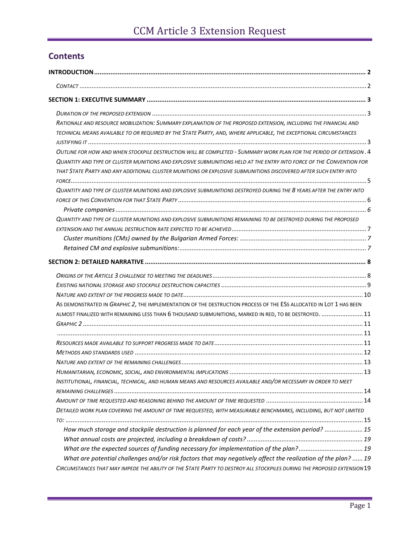## **Contents**

| RATIONALE AND RESOURCE MOBILIZATION: SUMMARY EXPLANATION OF THE PROPOSED EXTENSION, INCLUDING THE FINANCIAL AND         |  |
|-------------------------------------------------------------------------------------------------------------------------|--|
| TECHNICAL MEANS AVAILABLE TO OR REQUIRED BY THE STATE PARTY, AND, WHERE APPLICABLE, THE EXCEPTIONAL CIRCUMSTANCES       |  |
|                                                                                                                         |  |
| OUTLINE FOR HOW AND WHEN STOCKPILE DESTRUCTION WILL BE COMPLETED - SUMMARY WORK PLAN FOR THE PERIOD OF EXTENSION . 4    |  |
| QUANTITY AND TYPE OF CLUSTER MUNITIONS AND EXPLOSIVE SUBMUNITIONS HELD AT THE ENTRY INTO FORCE OF THE CONVENTION FOR    |  |
| THAT STATE PARTY AND ANY ADDITIONAL CLUSTER MUNITIONS OR EXPLOSIVE SUBMUNITIONS DISCOVERED AFTER SUCH ENTRY INTO        |  |
|                                                                                                                         |  |
| QUANTITY AND TYPE OF CLUSTER MUNITIONS AND EXPLOSIVE SUBMUNITIONS DESTROYED DURING THE 8 YEARS AFTER THE ENTRY INTO     |  |
|                                                                                                                         |  |
|                                                                                                                         |  |
| QUANTITY AND TYPE OF CLUSTER MUNITIONS AND EXPLOSIVE SUBMUNITIONS REMAINING TO BE DESTROYED DURING THE PROPOSED         |  |
|                                                                                                                         |  |
|                                                                                                                         |  |
|                                                                                                                         |  |
|                                                                                                                         |  |
|                                                                                                                         |  |
|                                                                                                                         |  |
|                                                                                                                         |  |
| AS DEMONSTRATED IN GRAPHIC 2, THE IMPLEMENTATION OF THE DESTRUCTION PROCESS OF THE ESS ALLOCATED IN LOT 1 HAS BEEN      |  |
| ALMOST FINALIZED WITH REMAINING LESS THAN 6 THOUSAND SUBMUNITIONS, MARKED IN RED, TO BE DESTROYED.  11                  |  |
|                                                                                                                         |  |
|                                                                                                                         |  |
|                                                                                                                         |  |
|                                                                                                                         |  |
|                                                                                                                         |  |
|                                                                                                                         |  |
| INSTITUTIONAL, FINANCIAL, TECHNICAL, AND HUMAN MEANS AND RESOURCES AVAILABLE AND/OR NECESSARY IN ORDER TO MEET          |  |
|                                                                                                                         |  |
|                                                                                                                         |  |
| DETAILED WORK PLAN COVERING THE AMOUNT OF TIME REQUESTED, WITH MEASURABLE BENCHMARKS, INCLUDING, BUT NOT LIMITED        |  |
|                                                                                                                         |  |
| How much storage and stockpile destruction is planned for each year of the extension period?  15                        |  |
|                                                                                                                         |  |
| What are the expected sources of funding necessary for implementation of the plan?19                                    |  |
| What are potential challenges and/or risk factors that may negatively affect the realization of the plan?  19           |  |
| CIRCUMSTANCES THAT MAY IMPEDE THE ABILITY OF THE STATE PARTY TO DESTROY ALL STOCKPILES DURING THE PROPOSED EXTENSION 19 |  |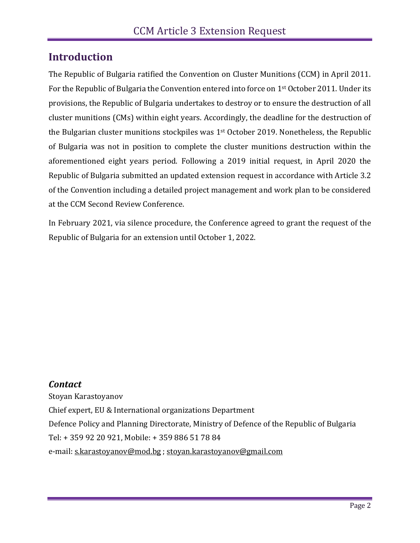# <span id="page-2-0"></span>**Introduction**

The Republic of Bulgaria ratified the Convention on Cluster Munitions (CCM) in April 2011. For the Republic of Bulgaria the Convention entered into force on 1<sup>st</sup> October 2011. Under its provisions, the Republic of Bulgaria undertakes to destroy or to ensure the destruction of all cluster munitions (CMs) within eight years. Accordingly, the deadline for the destruction of the Bulgarian cluster munitions stockpiles was 1<sup>st</sup> October 2019. Nonetheless, the Republic of Bulgaria was not in position to complete the cluster munitions destruction within the aforementioned eight years period. Following a 2019 initial request, in April 2020 the Republic of Bulgaria submitted an updated extension request in accordance with Article 3.2 of the Convention including a detailed project management and work plan to be considered at the CCM Second Review Conference.

In February 2021, via silence procedure, the Conference agreed to grant the request of the Republic of Bulgaria for an extension until October 1, 2022.

## <span id="page-2-1"></span>*Contact*

Stoyan Karastoyanov Chief expert, EU & International organizations Department Defence Policy and Planning Directorate, Ministry of Defence of the Republic of Bulgaria Tel: + 359 92 20 921, Mobile: + 359 886 51 78 84 e-mail: [s.karastoyanov@mod.bg](mailto:s.karastoyanov@mod.bg) ; [stoyan.karastoyanov@gmail.com](mailto:stoyan.karastoyanov@gmail.com)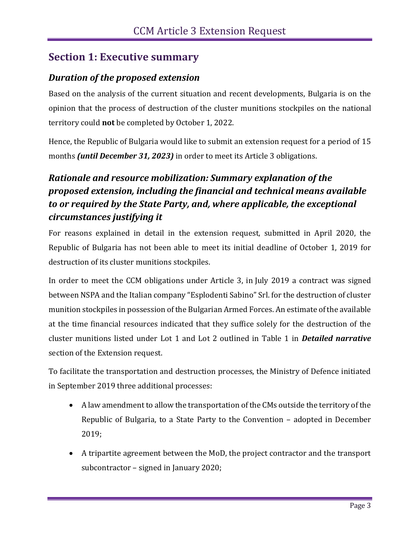# <span id="page-3-0"></span>**Section 1: Executive summary**

### <span id="page-3-1"></span>*Duration of the proposed extension*

Based on the analysis of the current situation and recent developments, Bulgaria is on the opinion that the process of destruction of the cluster munitions stockpiles on the national territory could **not** be completed by October 1, 2022.

Hence, the Republic of Bulgaria would like to submit an extension request for а period of 15 months *(until December 31, 2023)* in order to meet its Article 3 obligations.

# <span id="page-3-2"></span>*Rationale and resource mobilization: Summary explanation of the proposed extension, including the financial and technical means available to or required by the State Party, and, where applicable, the exceptional circumstances justifying it*

For reasons explained in detail in the extension request, submitted in April 2020, the Republic of Bulgaria has not been able to meet its initial deadline of October 1, 2019 for destruction of its cluster munitions stockpiles.

In order to meet the CCM obligations under Article 3, in July 2019 a contract was signed between NSPA and the Italian company "Esplodenti Sabino" Srl. for the destruction of cluster munition stockpiles in possession of the Bulgarian Armed Forces. An estimate of the available at the time financial resources indicated that they suffice solely for the destruction of the cluster munitions listed under Lot 1 and Lot 2 outlined in Table 1 in *Detailed narrative*  section of the Extension request.

To facilitate the transportation and destruction processes, the Ministry of Defence initiated in September 2019 three additional processes:

- A law amendment to allow the transportation of the CMs outside the territory of the Republic of Bulgaria, to a State Party to the Convention – adopted in December 2019;
- A tripartite agreement between the MoD, the project contractor and the transport subcontractor – signed in January 2020;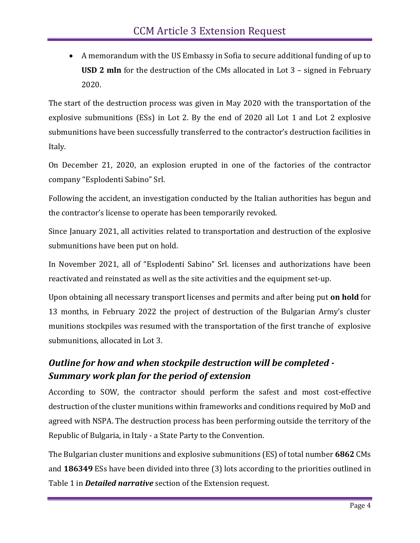• A memorandum with the US Embassy in Sofia to secure additional funding of up to **USD 2 mln** for the destruction of the CMs allocated in Lot 3 – signed in February 2020.

The start of the destruction process was given in May 2020 with the transportation of the explosive submunitions (ESs) in Lot 2. By the end of 2020 all Lot 1 and Lot 2 explosive submunitions have been successfully transferred to the contractor's destruction facilities in Italy.

On December 21, 2020, an explosion erupted in one of the factories of the contractor company "Esplodenti Sabino" Srl.

Following the accident, an investigation conducted by the Italian authorities has begun and the contractor's license to operate has been temporarily revoked.

Since January 2021, all activities related to transportation and destruction of the explosive submunitions have been put on hold.

In November 2021, all of "Esplodenti Sabino" Srl. licenses and authorizations have been reactivated and reinstated as well as the site activities and the equipment set-up.

Upon obtaining all necessary transport licenses and permits and after being put **on hold** for 13 months, in February 2022 the project of destruction of the Bulgarian Army's cluster munitions stockpiles was resumed with the transportation of the first tranche of explosive submunitions, allocated in Lot 3.

## <span id="page-4-0"></span>*Outline for how and when stockpile destruction will be completed - Summary work plan for the period of extension*

According to SOW, the contractor should perform the safest and most cost-effective destruction of the cluster munitions within frameworks and conditions required by MoD and agreed with NSPA. The destruction process has been performing outside the territory of the Republic of Bulgaria, in Italy - a State Party to the Convention.

The Bulgarian cluster munitions and explosive submunitions (ES) of total number **6862** CMs and **186349** ESs have been divided into three (3) lots according to the priorities outlined in Table 1 in *Detailed narrative* section of the Extension request.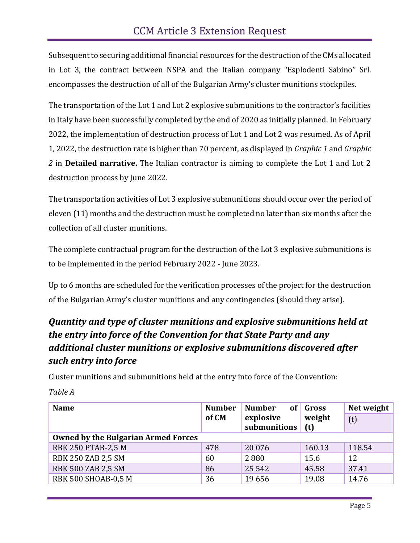Subsequent to securing additional financial resources for the destruction of the CMs allocated in Lot 3, the contract between NSPA and the Italian company "Esplodenti Sabino" Srl. encompasses the destruction of all of the Bulgarian Army's cluster munitions stockpiles.

The transportation of the Lot 1 and Lot 2 explosive submunitions to the contractor's facilities in Italy have been successfully completed by the end of 2020 as initially planned. In February 2022, the implementation of destruction process of Lot 1 and Lot 2 was resumed. As of April 1, 2022, the destruction rate is higher than 70 percent, as displayed in *Graphic 1* and *Graphic 2* in **Detailed narrative.** The Italian contractor is aiming to complete the Lot 1 and Lot 2 destruction process by June 2022.

The transportation activities of Lot 3 explosive submunitions should occur over the period of eleven (11) months and the destruction must be completed no later than six months after the collection of all cluster munitions.

The complete contractual program for the destruction of the Lot 3 explosive submunitions is to be implemented in the period February 2022 - June 2023.

Up to 6 months are scheduled for the verification processes of the project for the destruction of the Bulgarian Army's cluster munitions and any contingencies (should they arise).

## <span id="page-5-0"></span>*Quantity and type of cluster munitions and explosive submunitions held at the entry into force of the Convention for that State Party and any additional cluster munitions or explosive submunitions discovered after such entry into force*

Cluster munitions and submunitions held at the entry into force of the Convention:

| <b>Name</b>                                | <b>Number</b> | <b>Number</b><br>0f | Gross       | Net weight |
|--------------------------------------------|---------------|---------------------|-------------|------------|
|                                            | of CM         | explosive           | weight      | (t)        |
|                                            |               | submunitions        | $\vert$ (t) |            |
| <b>Owned by the Bulgarian Armed Forces</b> |               |                     |             |            |
| <b>RBK 250 PTAB-2,5 M</b>                  | 478           | 20 0 76             | 160.13      | 118.54     |
| <b>RBK 250 ZAB 2,5 SM</b>                  | 60            | 2880                | 15.6        | 12         |
| <b>RBK 500 ZAB 2,5 SM</b>                  | 86            | 25 5 42             | 45.58       | 37.41      |
| <b>RBK 500 SHOAB-0,5 M</b>                 | 36            | 19656               | 19.08       | 14.76      |

*Table A*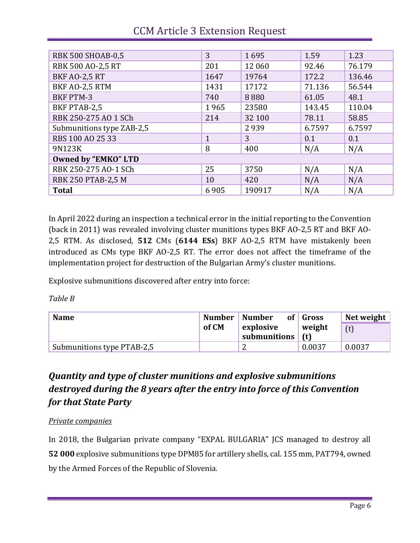| <b>RBK 500 SHOAB-0,5</b>   | 3            | 1695   | 1.59   | 1.23   |
|----------------------------|--------------|--------|--------|--------|
| <b>RBK 500 AO-2,5 RT</b>   | 201          | 12 060 | 92.46  | 76.179 |
| <b>BKF AO-2,5 RT</b>       | 1647         | 19764  | 172.2  | 136.46 |
| BKF AO-2,5 RTM             | 1431         | 17172  | 71.136 | 56.544 |
| <b>BKF PTM-3</b>           | 740          | 8880   | 61.05  | 48.1   |
| BKF PTAB-2,5               | 1965         | 23580  | 143.45 | 110.04 |
| RBK 250-275 AO 1 SCh       | 214          | 32 100 | 78.11  | 58.85  |
| Submunitions type ZAB-2,5  |              | 2939   | 6.7597 | 6.7597 |
| RBS 100 AO 25 33           | $\mathbf{1}$ | 3      | 0.1    | 0.1    |
| 9N123K                     | 8            | 400    | N/A    | N/A    |
| <b>Owned by "EMKO" LTD</b> |              |        |        |        |
| RBK 250-275 AO-1 SCh       | 25           | 3750   | N/A    | N/A    |
| <b>RBK 250 PTAB-2,5 M</b>  | 10           | 420    | N/A    | N/A    |
| <b>Total</b>               | 6905         | 190917 | N/A    | N/A    |

# CCM Article 3 Extension Request

In April 2022 during an inspection a technical error in the initial reporting to the Convention (back in 2011) was revealed involving cluster munitions types BKF AO-2,5 RT and BKF AO-2,5 RTM. As disclosed, **512** CMs (**6144 ESs**) BKF AO-2,5 RTM have mistakenly been introduced as CMs type BKF AO-2,5 RT. The error does not affect the timeframe of the implementation project for destruction of the Bulgarian Army's cluster munitions.

Explosive submunitions discovered after entry into force:

*Table B*

| <b>Name</b>                | Number<br>  Number |                                 | of Gross | Net weight |  |
|----------------------------|--------------------|---------------------------------|----------|------------|--|
|                            | of CM              | explosive<br>submunitions $(t)$ | weight   | (t)        |  |
|                            |                    |                                 |          |            |  |
| Submunitions type PTAB-2,5 |                    |                                 | 0.0037   | 0.0037     |  |

## <span id="page-6-0"></span>*Quantity and type of cluster munitions and explosive submunitions destroyed during the 8 years after the entry into force of this Convention for that State Party*

#### <span id="page-6-1"></span>*Private companies*

In 2018, the Bulgarian private company "EXPAL BULGARIA" JCS managed to destroy all **52 000** explosive submunitions type DPM85 for artillery shells, cal. 155 mm, PAT794, owned by the Armed Forces of the Republic of Slovenia.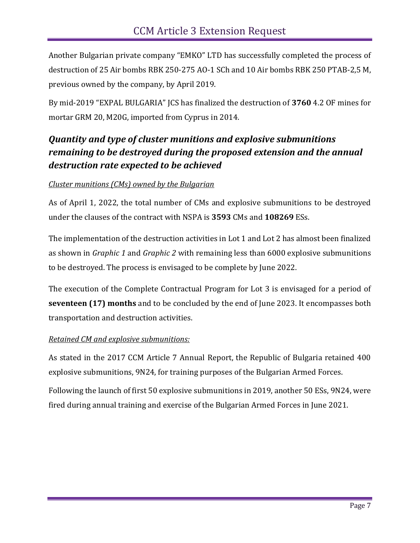Another Bulgarian private company "EMKO" LTD has successfully completed the process of destruction of 25 Air bombs RBK 250-275 AO-1 SCh and 10 Air bombs RBK 250 PTAB-2,5 M, previous owned by the company, by April 2019.

By mid-2019 "EXPAL BULGARIA" JCS has finalized the destruction of **3760** 4.2 OF mines for mortar GRM 20, M20G, imported from Cyprus in 2014.

## <span id="page-7-0"></span>*Quantity and type of cluster munitions and explosive submunitions remaining to be destroyed during the proposed extension and the annual destruction rate expected to be achieved*

#### <span id="page-7-1"></span>*Cluster munitions (CMs) owned by the Bulgarian*

As of April 1, 2022, the total number of CMs and explosive submunitions to be destroyed under the clauses of the contract with NSPA is **3593** CMs and **108269** ESs.

The implementation of the destruction activities in Lot 1 and Lot 2 has almost been finalized as shown in *Graphic 1* and *Graphic 2* with remaining less than 6000 explosive submunitions to be destroyed. The process is envisaged to be complete by June 2022.

The execution of the Complete Contractual Program for Lot 3 is envisaged for a period of **seventeen (17) months** and to be concluded by the end of June 2023. It encompasses both transportation and destruction activities.

#### <span id="page-7-2"></span>*Retained CM and explosive submunitions:*

As stated in the 2017 CCM Article 7 Annual Report, the Republic of Bulgaria retained 400 explosive submunitions, 9N24, for training purposes of the Bulgarian Armed Forces.

Following the launch of first 50 explosive submunitions in 2019, another 50 ESs, 9N24, were fired during annual training and exercise of the Bulgarian Armed Forces in June 2021.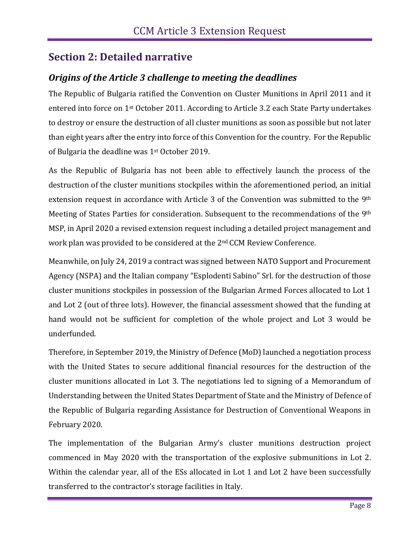## <span id="page-8-0"></span>**Section 2: Detailed narrative**

## <span id="page-8-1"></span>*Origins of the Article 3 challenge to meeting the deadlines*

The Republic of Bulgaria ratified the Convention on Cluster Munitions in April 2011 and it entered into force on 1st October 2011. According to Article 3.2 each State Party undertakes to destroy or ensure the destruction of all cluster munitions as soon as possible but not later than eight years after the entry into force of this Convention for the country. For the Republic of Bulgaria the deadline was 1st October 2019.

As the Republic of Bulgaria has not been able to effectively launch the process of the destruction of the cluster munitions stockpiles within the aforementioned period, an initial extension request in accordance with Article 3 of the Convention was submitted to the 9<sup>th</sup> Meeting of States Parties for consideration. Subsequent to the recommendations of the 9<sup>th</sup> MSP, in April 2020 a revised extension request including a detailed project management and work plan was provided to be considered at the 2nd CCM Review Conference.

Meanwhile, on July 24, 2019 a contract was signed between NATO Support and Procurement Agency (NSPA) and the Italian company "Esplodenti Sabino" Srl. for the destruction of those cluster munitions stockpiles in possession of the Bulgarian Armed Forces allocated to Lot 1 and Lot 2 (out of three lots). However, the financial assessment showed that the funding at hand would not be sufficient for completion of the whole project and Lot 3 would be underfunded.

Therefore, in September 2019, the Ministry of Defence (MoD) launched a negotiation process with the United States to secure additional financial resources for the destruction of the cluster munitions allocated in Lot 3. The negotiations led to signing of a Memorandum of Understanding between the United States Department of State and the Ministry of Defence of the Republic of Bulgaria regarding Assistance for Destruction of Conventional Weapons in February 2020.

The implementation of the Bulgarian Army's cluster munitions destruction project commenced in May 2020 with the transportation of the explosive submunitions in Lot 2. Within the calendar year, all of the ESs allocated in Lot 1 and Lot 2 have been successfully transferred to the contractor's storage facilities in Italy.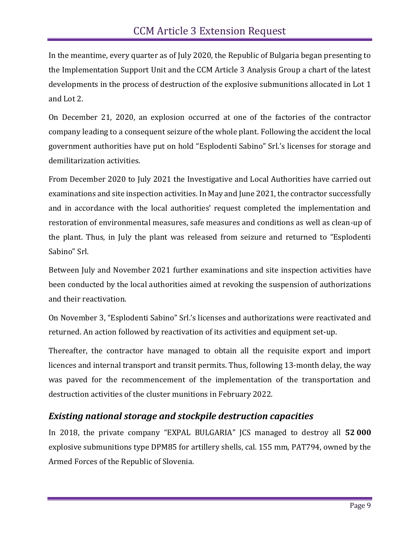In the meantime, every quarter as of July 2020, the Republic of Bulgaria began presenting to the Implementation Support Unit and the CCM Article 3 Analysis Group a chart of the latest developments in the process of destruction of the explosive submunitions allocated in Lot 1 and Lot 2.

On December 21, 2020, an explosion occurred at one of the factories of the contractor company leading to a consequent seizure of the whole plant. Following the accident the local government authorities have put on hold "Esplodenti Sabino" Srl.'s licenses for storage and demilitarization activities.

From December 2020 to July 2021 the Investigative and Local Authorities have carried out examinations and site inspection activities. In May and June 2021, the contractor successfully and in accordance with the local authorities' request completed the implementation and restoration of environmental measures, safe measures and conditions as well as clean-up of the plant. Thus, in July the plant was released from seizure and returned to "Esplodenti Sabino" Srl.

Between July and November 2021 further examinations and site inspection activities have been conducted by the local authorities aimed at revoking the suspension of authorizations and their reactivation.

On November 3, "Esplodenti Sabino" Srl.'s licenses and authorizations were reactivated and returned. An action followed by reactivation of its activities and equipment set-up.

Thereafter, the contractor have managed to obtain all the requisite export and import licences and internal transport and transit permits. Thus, following 13-month delay, the way was paved for the recommencement of the implementation of the transportation and destruction activities of the cluster munitions in February 2022.

#### <span id="page-9-0"></span>*Existing national storage and stockpile destruction capacities*

In 2018, the private company "EXPAL BULGARIA" JCS managed to destroy all **52 000** explosive submunitions type DPM85 for artillery shells, cal. 155 mm, PAT794, owned by the Armed Forces of the Republic of Slovenia.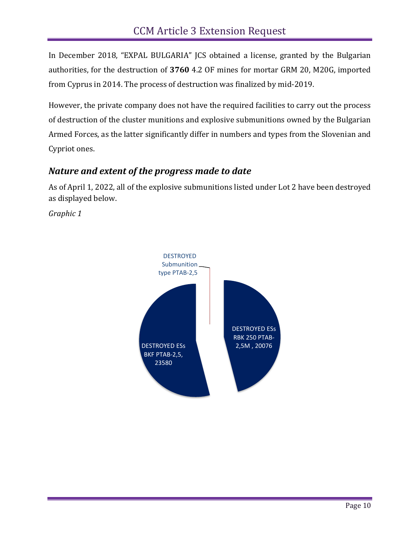In December 2018, "EXPAL BULGARIA" JCS obtained a license, granted by the Bulgarian authorities, for the destruction of **3760** 4.2 OF mines for mortar GRM 20, M20G, imported from Cyprus in 2014. The process of destruction was finalized by mid-2019.

However, the private company does not have the required facilities to carry out the process of destruction of the cluster munitions and explosive submunitions owned by the Bulgarian Armed Forces, as the latter significantly differ in numbers and types from the Slovenian and Cypriot ones.

## <span id="page-10-0"></span>*Nature and extent of the progress made to date*

As of April 1, 2022, all of the explosive submunitions listed under Lot 2 have been destroyed as displayed below.

*Graphic 1*

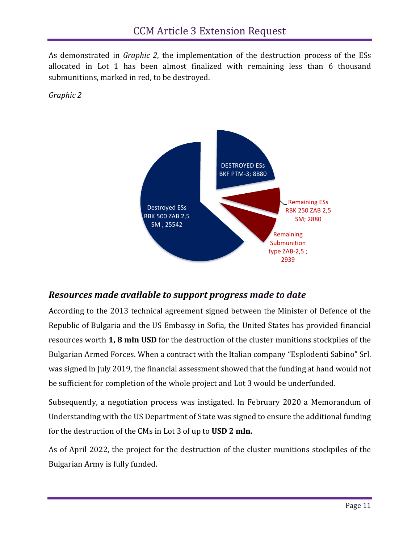<span id="page-11-0"></span>As demonstrated in *Graphic 2*, the implementation of the destruction process of the ESs allocated in Lot 1 has been almost finalized with remaining less than 6 thousand submunitions, marked in red, to be destroyed.

<span id="page-11-2"></span><span id="page-11-1"></span>*Graphic 2*



#### <span id="page-11-3"></span>*Resources made available to support progress made to date*

According to the 2013 technical agreement signed between the Minister of Defence of the Republic of Bulgaria and the US Embassy in Sofia, the United States has provided financial resources worth **1, 8 mln USD** for the destruction of the cluster munitions stockpiles of the Bulgarian Armed Forces. When a contract with the Italian company "Esplodenti Sabino" Srl. was signed in July 2019, the financial assessment showed that the funding at hand would not be sufficient for completion of the whole project and Lot 3 would be underfunded.

Subsequently, a negotiation process was instigated. In February 2020 a Memorandum of Understanding with the US Department of State was signed to ensure the additional funding for the destruction of the CMs in Lot 3 of up to **USD 2 mln.**

As of April 2022, the project for the destruction of the cluster munitions stockpiles of the Bulgarian Army is fully funded.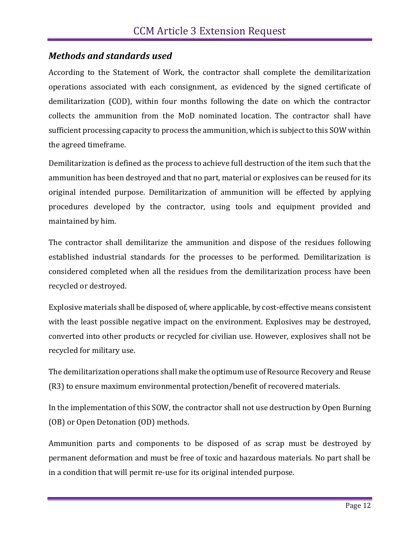## <span id="page-12-0"></span>*Methods and standards used*

According to the Statement of Work, the contractor shall complete the demilitarization operations associated with each consignment, as evidenced by the signed certificate of demilitarization (COD), within four months following the date on which the contractor collects the ammunition from the MoD nominated location. The contractor shall have sufficient processing capacity to process the ammunition, which is subject to this SOW within the agreed timeframe.

Demilitarization is defined as the process to achieve full destruction of the item such that the ammunition has been destroyed and that no part, material or explosives can be reused for its original intended purpose. Demilitarization of ammunition will be effected by applying procedures developed by the contractor, using tools and equipment provided and maintained by him.

The contractor shall demilitarize the ammunition and dispose of the residues following established industrial standards for the processes to be performed. Demilitarization is considered completed when all the residues from the demilitarization process have been recycled or destroyed.

Explosive materials shall be disposed of, where applicable, by cost-effective means consistent with the least possible negative impact on the environment. Explosives may be destroyed, converted into other products or recycled for civilian use. However, explosives shall not be recycled for military use.

The demilitarization operations shall make the optimum use of Resource Recovery and Reuse (R3) to ensure maximum environmental protection/benefit of recovered materials.

In the implementation of this SOW, the contractor shall not use destruction by Open Burning (OB) or Open Detonation (OD) methods.

Ammunition parts and components to be disposed of as scrap must be destroyed by permanent deformation and must be free of toxic and hazardous materials. No part shall be in a condition that will permit re-use for its original intended purpose.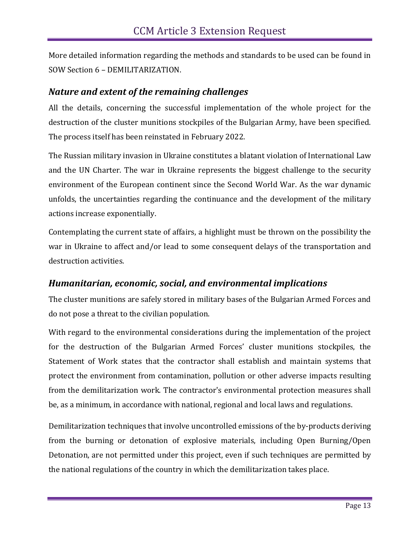More detailed information regarding the methods and standards to be used can be found in SOW Section 6 – DEMILITARIZATION.

#### <span id="page-13-0"></span>*Nature and extent of the remaining challenges*

All the details, concerning the successful implementation of the whole project for the destruction of the cluster munitions stockpiles of the Bulgarian Army, have been specified. The process itself has been reinstated in February 2022.

The Russian military invasion in Ukraine constitutes a blatant violation of International Law and the UN Charter. The war in Ukraine represents the biggest challenge to the security environment of the European continent since the Second World War. As the war dynamic unfolds, the uncertainties regarding the continuance and the development of the military actions increase exponentially.

Contemplating the current state of affairs, a highlight must be thrown on the possibility the war in Ukraine to affect and/or lead to some consequent delays of the transportation and destruction activities.

#### <span id="page-13-1"></span>*Humanitarian, economic, social, and environmental implications*

The cluster munitions are safely stored in military bases of the Bulgarian Armed Forces and do not pose a threat to the civilian population.

With regard to the environmental considerations during the implementation of the project for the destruction of the Bulgarian Armed Forces' cluster munitions stockpiles, the Statement of Work states that the contractor shall establish and maintain systems that protect the environment from contamination, pollution or other adverse impacts resulting from the demilitarization work. The contractor's environmental protection measures shall be, as a minimum, in accordance with national, regional and local laws and regulations.

Demilitarization techniques that involve uncontrolled emissions of the by-products deriving from the burning or detonation of explosive materials, including Open Burning/Open Detonation, are not permitted under this project, even if such techniques are permitted by the national regulations of the country in which the demilitarization takes place.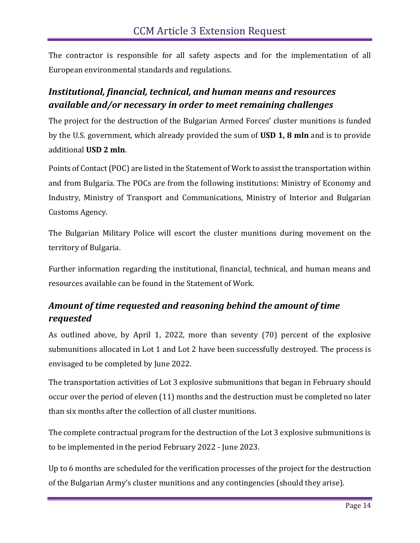The contractor is responsible for all safety aspects and for the implementation of all European environmental standards and regulations.

## <span id="page-14-0"></span>*Institutional, financial, technical, and human means and resources available and/or necessary in order to meet remaining challenges*

The project for the destruction of the Bulgarian Armed Forces' cluster munitions is funded by the U.S. government, which already provided the sum of **USD 1, 8 mln** and is to provide additional **USD 2 mln**.

Points of Contact (POC) are listed in the Statement of Work to assist the transportation within and from Bulgaria. The POCs are from the following institutions: Ministry of Economy and Industry, Ministry of Transport and Communications, Ministry of Interior and Bulgarian Customs Agency.

The Bulgarian Military Police will escort the cluster munitions during movement on the territory of Bulgaria.

Further information regarding the institutional, financial, technical, and human means and resources available can be found in the Statement of Work.

## <span id="page-14-1"></span>*Amount of time requested and reasoning behind the amount of time requested*

As outlined above, by April 1, 2022, more than seventy (70) percent of the explosive submunitions allocated in Lot 1 and Lot 2 have been successfully destroyed. The process is envisaged to be completed by June 2022.

The transportation activities of Lot 3 explosive submunitions that began in February should occur over the period of eleven (11) months and the destruction must be completed no later than six months after the collection of all cluster munitions.

The complete contractual program for the destruction of the Lot 3 explosive submunitions is to be implemented in the period February 2022 - June 2023.

Up to 6 months are scheduled for the verification processes of the project for the destruction of the Bulgarian Army's cluster munitions and any contingencies (should they arise).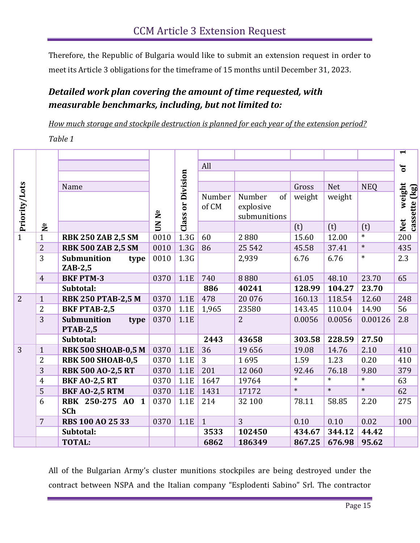Therefore, the Republic of Bulgaria would like to submit an extension request in order to meet its Article 3 obligations for the timeframe of 15 months until December 31, 2023.

## <span id="page-15-0"></span>*Detailed work plan covering the amount of time requested, with measurable benchmarks, including, but not limited to:*

<span id="page-15-1"></span>*How much storage and stockpile destruction is planned for each year of the extension period?*

*Table 1*

|                |                |                                        |       |                         |                 |                           |        |            |            | $\blacktriangleright$                           |
|----------------|----------------|----------------------------------------|-------|-------------------------|-----------------|---------------------------|--------|------------|------------|-------------------------------------------------|
|                |                |                                        |       |                         | All             |                           |        |            |            | $\mathbf{b}$                                    |
|                |                |                                        |       |                         |                 |                           |        |            |            |                                                 |
|                |                | Name                                   |       | Division                |                 |                           | Gross  | <b>Net</b> | <b>NEQ</b> |                                                 |
| Priority/Lots  |                |                                        |       | $\overline{\mathbf{r}}$ | Number<br>of CM | of<br>Number<br>explosive | weight | weight     |            | weight<br>$\mathbf{[kg]}$<br>Net we<br>cassette |
|                | $\mathbf{z}$   |                                        | UN Nº | Class                   |                 | submunitions              | (t)    | (t)        | (t)        |                                                 |
| $\overline{1}$ | $\mathbf{1}$   | <b>RBK 250 ZAB 2,5 SM</b>              | 0010  | 1.3G                    | 60              | 2880                      | 15.60  | 12.00      | $\ast$     | 200                                             |
|                | $\overline{2}$ | <b>RBK 500 ZAB 2,5 SM</b>              | 0010  | 1.3G                    | 86              | 25 5 42                   | 45.58  | 37.41      | $\ast$     | 435                                             |
|                | 3              | <b>Submunition</b><br>type             | 0010  | 1.3 <sub>G</sub>        |                 | 2,939                     | 6.76   | 6.76       | $\ast$     | 2.3                                             |
|                |                | $ZAB-2,5$                              |       |                         |                 |                           |        |            |            |                                                 |
|                | $\overline{4}$ | <b>BKF PTM-3</b>                       | 0370  | 1.1E                    | 740             | 8880                      | 61.05  | 48.10      | 23.70      | 65                                              |
|                |                | Subtotal:                              |       |                         | 886             | 40241                     | 128.99 | 104.27     | 23.70      |                                                 |
| $\overline{2}$ | $\mathbf{1}$   | <b>RBK 250 PTAB-2,5 M</b>              | 0370  | 1.1E                    | 478             | 20 0 76                   | 160.13 | 118.54     | 12.60      | 248                                             |
|                | 2              | <b>BKF PTAB-2,5</b>                    | 0370  | 1.1E                    | 1,965           | 23580                     | 143.45 | 110.04     | 14.90      | 56                                              |
|                | 3              | Submunition<br>type<br><b>PTAB-2,5</b> | 0370  | 1.1E                    |                 | 2                         | 0.0056 | 0.0056     | 0.00126    | 2.8                                             |
|                |                | Subtotal:                              |       |                         | 2443            | 43658                     | 303.58 | 228.59     | 27.50      |                                                 |
| 3              | $\mathbf{1}$   | <b>RBK 500 SHOAB-0,5 M</b>             | 0370  | 1.1E                    | 36              | 19656                     | 19.08  | 14.76      | 2.10       | 410                                             |
|                | 2              | <b>RBK 500 SHOAB-0,5</b>               | 0370  | 1.1E                    | 3               | 1695                      | 1.59   | 1.23       | 0.20       | 410                                             |
|                | 3              | <b>RBK 500 AO-2,5 RT</b>               | 0370  | 1.1E                    | 201             | 12 060                    | 92.46  | 76.18      | 9.80       | 379                                             |
|                | $\overline{4}$ | <b>BKF AO-2,5 RT</b>                   | 0370  | 1.1E                    | 1647            | 19764                     | $\ast$ | $\ast$     | $\ast$     | 63                                              |
|                | 5              | <b>BKF AO-2,5 RTM</b>                  | 0370  | 1.1E                    | 1431            | 17172                     | $\ast$ | $\ast$     | $\ast$     | 62                                              |
|                | 6              | RBK 250-275 AO 1<br><b>SCh</b>         | 0370  | 1.1E                    | 214             | 32 100                    | 78.11  | 58.85      | 2.20       | 275                                             |
|                | $\overline{7}$ | <b>RBS 100 AO 25 33</b>                | 0370  | 1.1E                    | $\mathbf{1}$    | $\overline{3}$            | 0.10   | 0.10       | 0.02       | 100                                             |
|                |                | Subtotal:                              |       |                         | 3533            | 102450                    | 434.67 | 344.12     | 44.42      |                                                 |
|                |                | <b>TOTAL:</b>                          |       |                         | 6862            | 186349                    | 867.25 | 676.98     | 95.62      |                                                 |

All of the Bulgarian Army's cluster munitions stockpiles are being destroyed under the contract between NSPA and the Italian company "Esplodenti Sabino" Srl. The contractor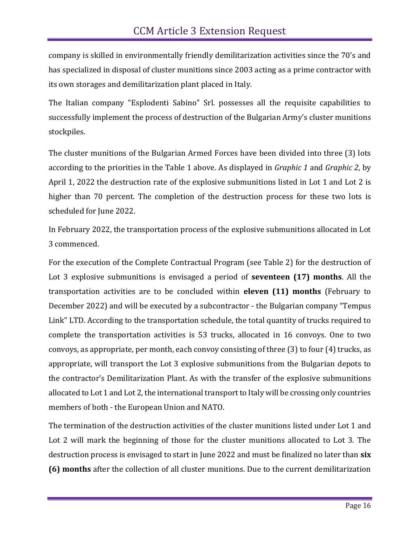company is skilled in environmentally friendly demilitarization activities since the 70's and has specialized in disposal of cluster munitions since 2003 acting as a prime contractor with its own storages and demilitarization plant placed in Italy.

The Italian company "Esplodenti Sabino" Srl. possesses all the requisite capabilities to successfully implement the process of destruction of the Bulgarian Army's cluster munitions stockpiles.

The cluster munitions of the Bulgarian Armed Forces have been divided into three (3) lots according to the priorities in the Table 1 above. As displayed in *Graphic 1* and *Graphic 2*, by April 1, 2022 the destruction rate of the explosive submunitions listed in Lot 1 and Lot 2 is higher than 70 percent. The completion of the destruction process for these two lots is scheduled for June 2022.

In February 2022, the transportation process of the explosive submunitions allocated in Lot 3 commenced.

For the execution of the Complete Contractual Program (see Table 2) for the destruction of Lot 3 explosive submunitions is envisaged a period of **seventeen (17) months**. All the transportation activities are to be concluded within **eleven (11) months** (February to December 2022) and will be executed by a subcontractor - the Bulgarian company "Tempus Link" LTD. According to the transportation schedule, the total quantity of trucks required to complete the transportation activities is 53 trucks, allocated in 16 convoys. One to two convoys, as appropriate, per month, each convoy consisting of three (3) to four (4) trucks, as appropriate, will transport the Lot 3 explosive submunitions from the Bulgarian depots to the contractor's Demilitarization Plant. As with the transfer of the explosive submunitions allocated to Lot 1 and Lot 2, the international transport to Italy will be crossing only countries members of both - the European Union and NATO.

The termination of the destruction activities of the cluster munitions listed under Lot 1 and Lot 2 will mark the beginning of those for the cluster munitions allocated to Lot 3. The destruction process is envisaged to start in June 2022 and must be finalized no later than **six (6) months** after the collection of all cluster munitions. Due to the current demilitarization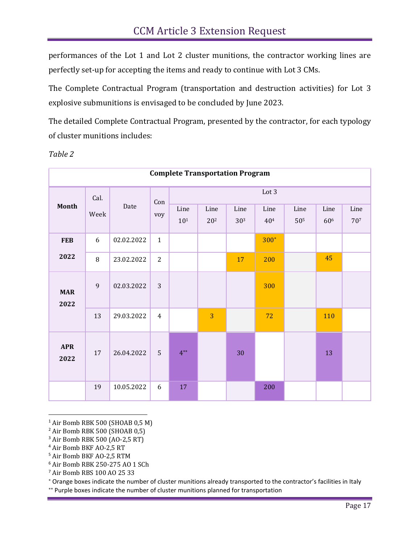performances of the Lot 1 and Lot 2 cluster munitions, the contractor working lines are perfectly set-up for accepting the items and ready to continue with Lot 3 CMs.

The Complete Contractual Program (transportation and destruction activities) for Lot 3 explosive submunitions is envisaged to be concluded by June 2023.

The detailed Complete Contractual Program, presented by the contractor, for each typology of cluster munitions includes:

|                    | <b>Complete Transportation Program</b> |            |                |                         |                         |                         |                         |                         |                         |             |  |  |
|--------------------|----------------------------------------|------------|----------------|-------------------------|-------------------------|-------------------------|-------------------------|-------------------------|-------------------------|-------------|--|--|
| <b>Month</b>       | Cal.                                   |            | Con            | Lot 3                   |                         |                         |                         |                         |                         |             |  |  |
|                    | Week                                   | Date       | voy            | Line<br>10 <sup>1</sup> | Line<br>20 <sup>2</sup> | Line<br>30 <sup>3</sup> | Line<br>40 <sup>4</sup> | Line<br>50 <sup>5</sup> | Line<br>60 <sup>6</sup> | Line<br>707 |  |  |
| <b>FEB</b>         | 6                                      | 02.02.2022 | $\mathbf{1}$   |                         |                         |                         | 300*                    |                         |                         |             |  |  |
| 2022               | 8                                      | 23.02.2022 | $\overline{2}$ |                         |                         | 17                      | 200                     |                         | 45                      |             |  |  |
| <b>MAR</b><br>2022 | $\mathsf g$                            | 02.03.2022 | 3              |                         |                         |                         | 300                     |                         |                         |             |  |  |
|                    | 13                                     | 29.03.2022 | $\overline{4}$ |                         | 3                       |                         | 72                      |                         | 110                     |             |  |  |
| <b>APR</b><br>2022 | 17                                     | 26.04.2022 | 5              | $4**$                   |                         | 30                      |                         |                         | 13                      |             |  |  |
|                    | 19                                     | 10.05.2022 | 6              | 17                      |                         |                         | 200                     |                         |                         |             |  |  |

*Table 2*

<sup>1</sup> Air Bomb RBK 500 (SHOAB 0,5 M)

<sup>2</sup> Air Bomb RBK 500 (SHOAB 0,5)

<sup>3</sup> Air Bomb RBK 500 (AO-2,5 RT)

<sup>4</sup> Air Bomb BKF AO-2,5 RT

<sup>5</sup> Air Bomb BKF AO-2,5 RTM

<sup>6</sup> Air Bomb RBK 250-275 АО 1 SCh

<sup>7</sup> Air Bomb RBS 100 АО 25 33

Orange boxes indicate the number of cluster munitions already transported to the contractor's facilities in Italy

\*\* Purple boxes indicate the number of cluster munitions planned for transportation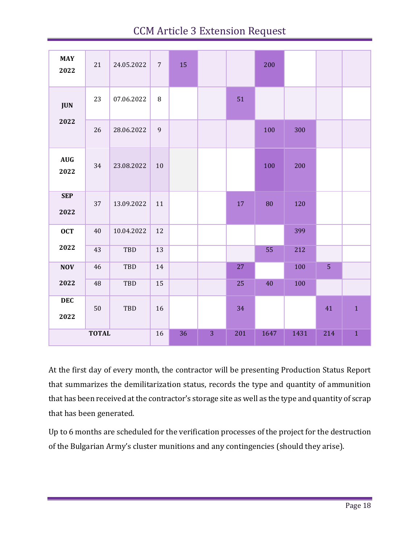# CCM Article 3 Extension Request

| <b>MAY</b><br>2022                       | 21           | 24.05.2022 | $7\overline{ }$ | 15 |   |     | 200  |      |                |              |
|------------------------------------------|--------------|------------|-----------------|----|---|-----|------|------|----------------|--------------|
| <b>JUN</b>                               | 23           | 07.06.2022 | $\, 8$          |    |   | 51  |      |      |                |              |
| 2022                                     | 26           | 28.06.2022 | $\mathbf{9}$    |    |   |     | 100  | 300  |                |              |
| $\mathbf{A}\mathbf{U}\mathbf{G}$<br>2022 | 34           | 23.08.2022 | 10              |    |   |     | 100  | 200  |                |              |
| <b>SEP</b><br>2022                       | 37           | 13.09.2022 | $11\,$          |    |   | 17  | 80   | 120  |                |              |
| <b>OCT</b>                               | 40           | 10.04.2022 | 12              |    |   |     |      | 399  |                |              |
| 2022                                     | 43           | TBD        | 13              |    |   |     | 55   | 212  |                |              |
| <b>NOV</b>                               | 46           | TBD        | 14              |    |   | 27  |      | 100  | $\overline{5}$ |              |
| 2022                                     | 48           | TBD        | 15              |    |   | 25  | 40   | 100  |                |              |
| <b>DEC</b><br>2022                       | 50           | TBD        | 16              |    |   | 34  |      |      | 41             | $\mathbf{1}$ |
|                                          | <b>TOTAL</b> |            | 16              | 36 | 3 | 201 | 1647 | 1431 | 214            | $\,1\,$      |

At the first day of every month, the contractor will be presenting Production Status Report that summarizes the demilitarization status, records the type and quantity of ammunition that has been received at the contractor's storage site as well as the type and quantity of scrap that has been generated.

Up to 6 months are scheduled for the verification processes of the project for the destruction of the Bulgarian Army's cluster munitions and any contingencies (should they arise).